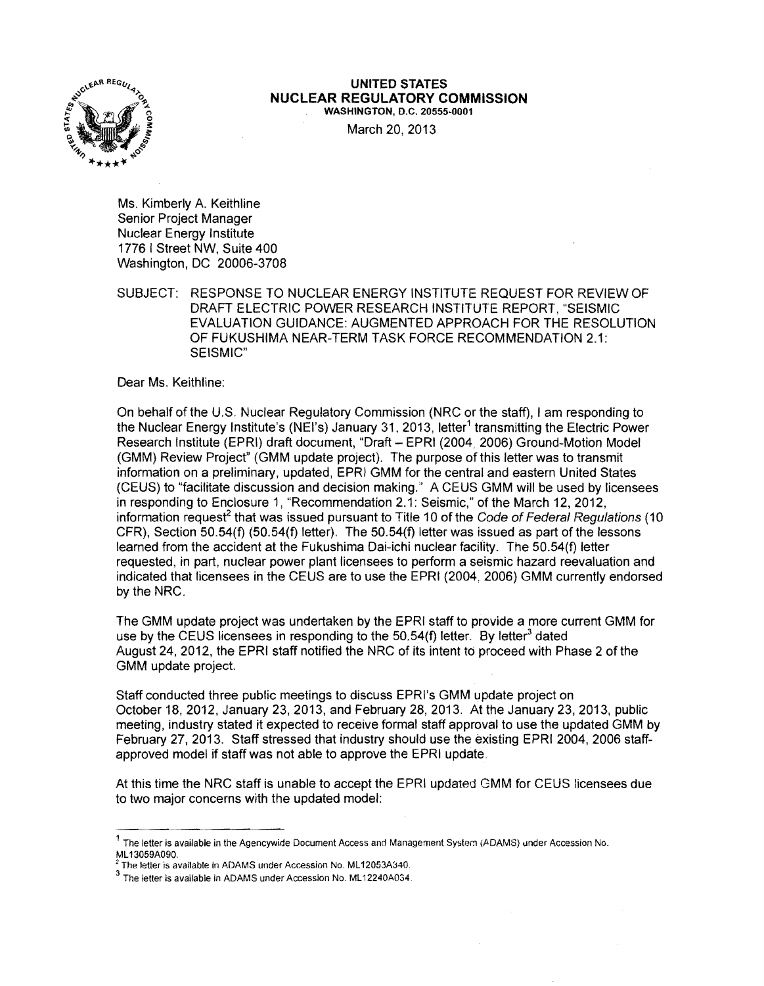

## **UNITED STATES NUCLEAR REGULATORY COMMISSION**  WASHINGTON. D.C. 20555-0001

March 20, 2013

Ms. Kimberly A. Keithline Senior Project Manager Nuclear Energy Institute 1776 I Street NW, Suite 400 Washington, DC 20006-3708

SUBJECT: RESPONSE TO NUCLEAR ENERGY INSTITUTE REQUEST FOR REVIEW OF DRAFT ELECTRIC POWER RESEARCH INSTITUTE REPORT, "SEISMIC EVALUATION GUIDANCE: AUGMENTED APPROACH FOR THE RESOLUTION OF FUKUSHIMA NEAR-TERM TASK FORCE RECOMMENDATION 2.1: SEISMIC"

Dear Ms. Keithline:

On behalf of the U.S. Nuclear Regulatory Commission (NRC or the staff), I am responding to the Nuclear Energy Institute's (NEI's) January 31, 2013, letter<sup>1</sup> transmitting the Electric Power Research Institute (EPRI) draft document, "Draft - EPRI (2004, 2006) Ground-Motion Model (GMM) Review Project" (GMM update project). The purpose of this letter was to transmit information on a preliminary. updated, EPRI GMM for the central and eastern United States (CEUS) to "facilitate discussion and decision making." A CEUS GMM will be used by licensees in responding to Enclosure 1, "Recommendation 2.1: Seismic," of the March 12, 2012, information request<sup>2</sup> that was issued pursuant to Title 10 of the Code of Federal Regulations (10 CFR), Section 50.54(f) (50.54(f) letter). The 50.54(f) letter was issued as part of the lessons learned from the accident at the Fukushima Dai-ichi nuclear facility. The 50.54(f) letter requested, in part. nuclear power plant licensees to perform a seismic hazard reevaluation and indicated that licensees in the CEUS are to use the EPRI (2004, 2006) GMM currently endorsed by the NRC.

The GMM update project was undertaken by the EPRI staff to provide a more current GMM for use by the CEUS licensees in responding to the 50.54(f) letter. By letter<sup>3</sup> dated August 24,2012, the EPRI staff notified the NRC of its intent to proceed with Phase 2 of the GMM update project.

Staff conducted three public meetings to discuss EPRl's GMM update project on October 18, 2012, January 23, 2013, and February 28,2013. At the January 23,2013, public meeting, industry stated it expected to receive formal staff approval to use the updated GMM by February 27, 2013. Staff stressed that industry should use the existing EPRI 2004, 2006 staffapproved model if staff was not able to approve the EPRI update

At this time the NRC staff is unable to accept the EPRI updated GMM for CEUS licensees due to two major concerns with the updated model:

<sup>1</sup> The letter is available in the Agencywide Document Access and Management System (ADAMS) under Accession No. ML 13059A090.

<sup>&</sup>lt;sup>2</sup> The letter is available in ADAMS under Accession No. ML12053A340.

<sup>3</sup> The letter is available in ADAMS under Accession No. ML 12240A034.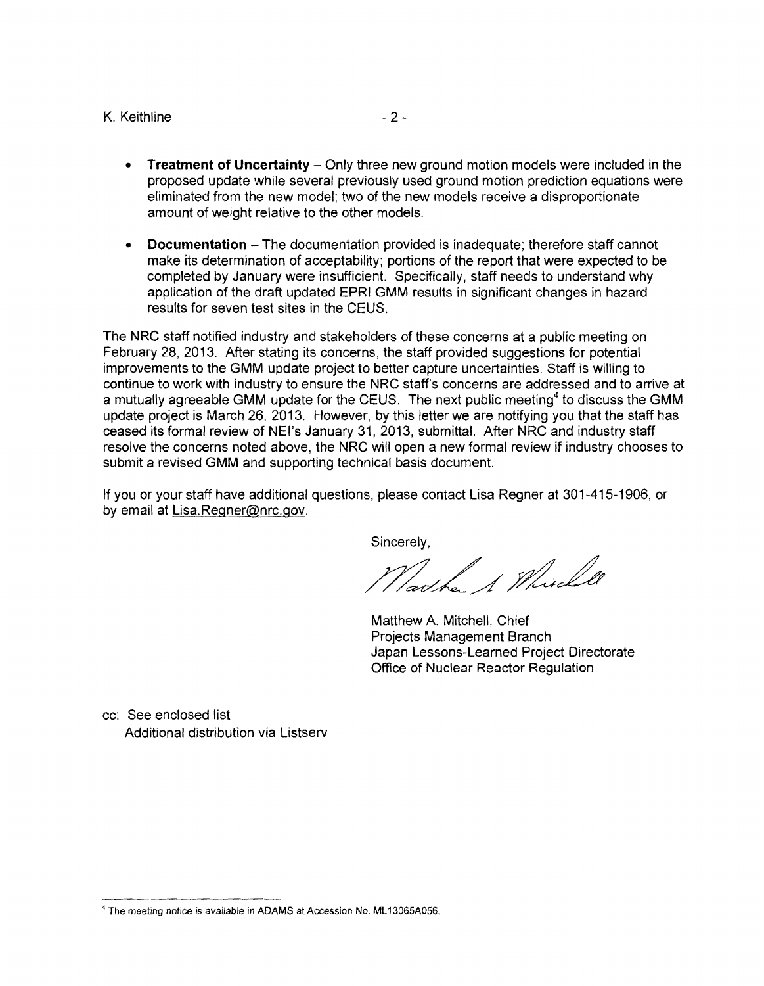## K. Keithline  $-2-$

- **Treatment of Uncertainty** Only three new ground motion models were included in the proposed update while several previously used ground motion prediction equations were eliminated from the new model; two of the new models receive a disproportionate amount of weight relative to the other models.
- **Documentation**  The documentation provided is inadequate; therefore staff cannot make its determination of acceptability; portions of the report that were expected to be completed by January were insufficient. Specifically, staff needs to understand why application of the draft updated EPRI GMM results in significant changes in hazard results for seven test sites in the CEUS.

The NRC staff notified industry and stakeholders of these concerns at a public meeting on February 28,2013. After stating its concerns, the staff provided suggestions for potential improvements to the GMM update project to better capture uncertainties. Staff is willing to continue to work with industry to ensure the NRC staffs concerns are addressed and to arrive at a mutually agreeable GMM update for the CEUS. The next public meeting<sup>4</sup> to discuss the GMM update project is March 26, 2013. However, by this letter we are notifying you that the staff has ceased its formal review of NEI's January 31, 2013, submittal. After NRC and industry staff resolve the concerns noted above, the NRC will open a new formal review if industry chooses to submit a revised GMM and supporting technical basis document.

If you or your staff have additional questions, please contact Lisa Regner at 301-415-1906, or by email at Lisa.Regner@nrc.gov.

Sincerely,

Jacke 1 Mille

Matthew A. Mitchell, Chief Projects Management Branch Japan lessons-learned Project Directorate Office of Nuclear Reactor Regulation

cc: See enclosed list Additional distribution via Listserv

<sup>4</sup> The meeting notice is available in ADAMS at Accession No. ML 13065A056.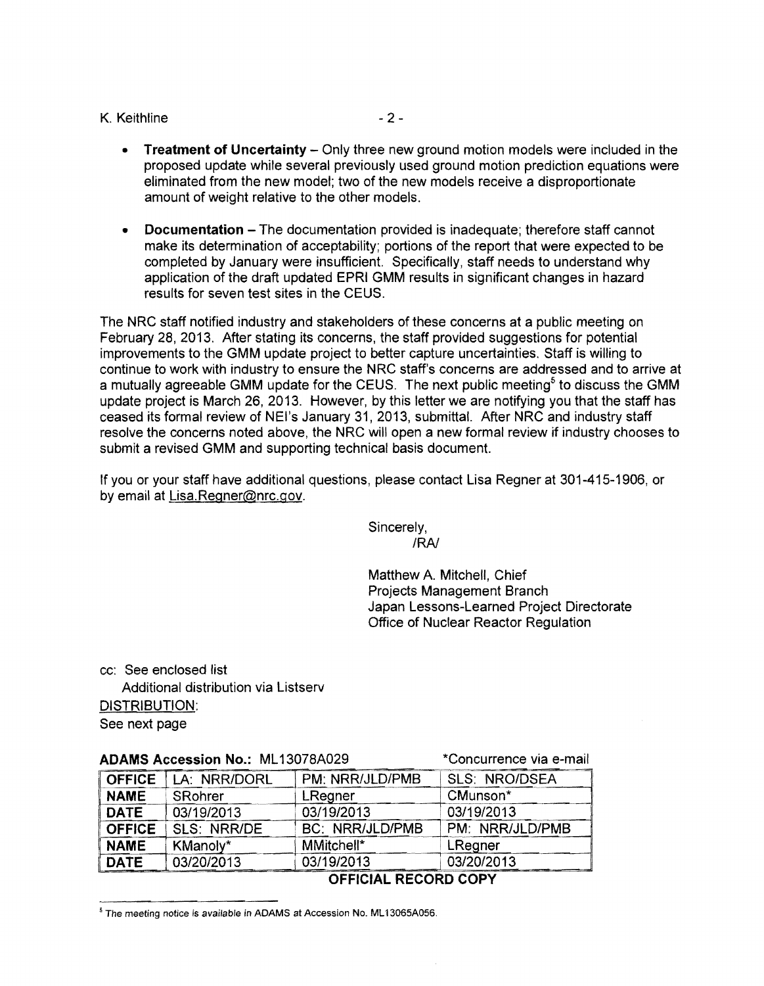## K. Keithline  $-2-$

- **Treatment of Uncertainty Only three new ground motion models were included in the** proposed update while several previously used ground motion prediction equations were eliminated from the new model; two of the new models receive a disproportionate amount of weight relative to the other models.
- **Documentation** The documentation provided is inadequate: therefore staff cannot make its determination of acceptability; portions of the report that were expected to be completed by January were insufficient. Specifically, staff needs to understand why application of the draft updated EPRI GMM results in significant changes in hazard results for seven test sites in the CEUS.

The NRC staff notified industry and stakeholders of these concerns at a public meeting on February 28, 2013. After stating its concerns, the staff provided suggestions for potential improvements to the GMM update project to better capture uncertainties. Staff is willing to continue to work with industry to ensure the NRC staff's concerns are addressed and to arrive at a mutually agreeable GMM update for the CEUS. The next public meeting<sup>5</sup> to discuss the GMM update project is March 26,2013. However, by this letter we are notifying you that the staff has ceased its formal review of NEl's January 31,2013, submittal. After NRC and industry staff resolve the concerns noted above, the NRC will open a new formal review if industry chooses to submit a revised GMM and supporting technical basis document.

If you or your staff have additional questions, please contact Lisa Regner at 301-415-1906, or by email at Lisa.Regner@nrc.gov.

> Sincerely, *IRAJ*

Matthew A. Mitchell, Chief Projects Management Branch Japan Lessons-Learned Project Directorate Office of Nuclear Reactor Regulation

cc: See enclosed list

Additional distribution via Listserv

DISTRIBUTION:

See next page

|  |  |  | ADAMS Accession No.: ML13078A029 |  |  |  |  |
|--|--|--|----------------------------------|--|--|--|--|
|--|--|--|----------------------------------|--|--|--|--|

**ADAMS Accession Accession Accession Accessible Accessible Accessible Accessible Accessible Accessible Accessible Accessible Accessible Accessible Accessible Accessible Accessible Accessible Accessible Accessible Accessibl** 

| FIBENING FIVOVOJUMI INGII IIILIUOI OI IVLO |              |                        |                      |  |  |  |
|--------------------------------------------|--------------|------------------------|----------------------|--|--|--|
| <b>OFFICE</b>                              | LA: NRR/DORL | PM: NRR/JLD/PMB        | <b>SLS: NRO/DSEA</b> |  |  |  |
| <b>NAME</b>                                | SRohrer      | LRegner                | CMunson*             |  |  |  |
| <b>DATE</b>                                | 03/19/2013   | 03/19/2013             | 03/19/2013           |  |  |  |
| <b>OFFICE</b>                              | SLS: NRR/DE  | <b>BC: NRR/JLD/PMB</b> | PM: NRR/JLD/PMB      |  |  |  |
| <b>NAME</b>                                | KManoly*     | MMitchell*             | LRegner              |  |  |  |
| DATE                                       | 03/20/2013   | 03/19/2013             | 03/20/2013           |  |  |  |

**OFFICIAL RECORD COPY** 

<sup>&</sup>lt;sup>5</sup> The meeting notice is available in ADAMS at Accession No. ML13065A056.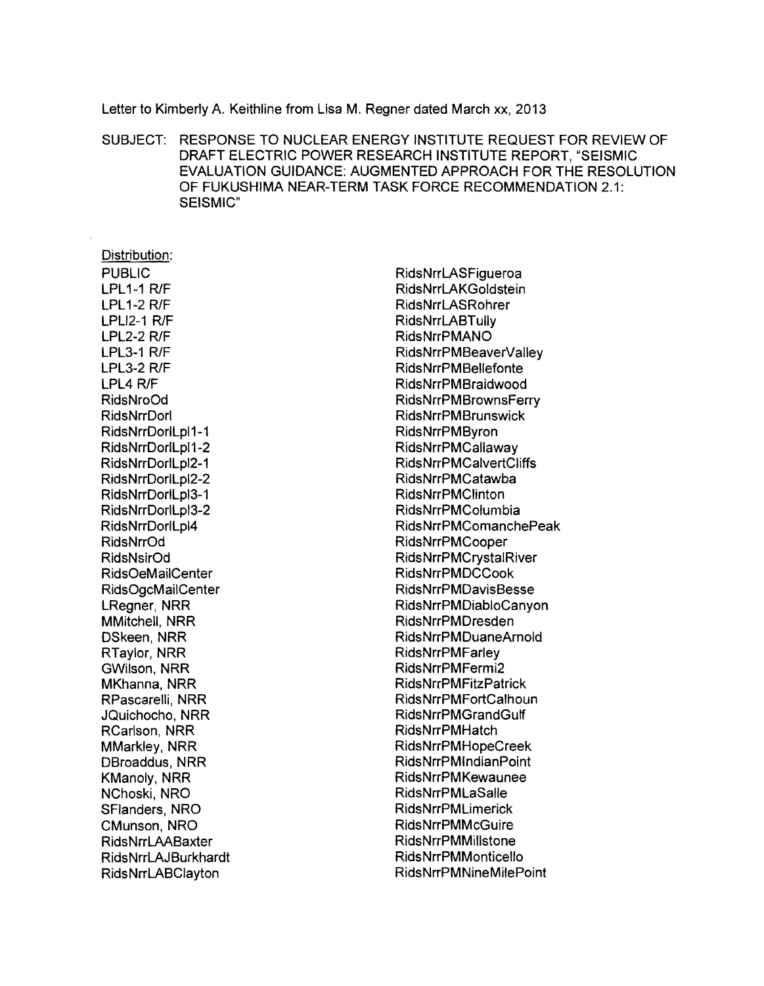Letter to Kimberly A. Keithline from Lisa M. Regner dated March xx, 2013

SUBJECT: RESPONSE TO NUCLEAR ENERGY INSTITUTE REQUEST FOR REVIEW OF DRAFT ELECTRIC POWER RESEARCH INSTITUTE REPORT, "SEISMIC EVALUATION GUIDANCE: AUGMENTED APPROACH FOR THE RESOLUTION OF FUKUSHIMA NEAR-TERM TASK FORCE RECOMMENDATION 2.1: SEISMIC"

Distribution: PUBLIC LPL1-1 RlF  $LPL1-2 R/F$ LPLI<sub>2-1</sub> R/F  $LPL2-2 R/F$  $LPL3-1 R/F$  $LPL3-2 R/F$ LPL4 R/F RidsNroOd RidsNrrDorl RidsNrrDorlLpl1-1 RidsNrrDorlLpl1-2 RidsNrrDorlLpl2-1 RidsNrrDorlLpl2-2 RidsNrrDorlLpl3-1 RidsNrrDorlLpl3-2 RidsNrrDorlLpl4 RidsNrrOd RidsNsirOd RidsOeMailCenter RidsOgcMailCenter LRegner, NRR MMitchell, NRR DSkeen, NRR RTaylor, NRR GWilson, NRR MKhanna, NRR RPascarelli, NRR JQuichocho, NRR RCarlson, NRR MMarkley, NRR DBroaddus, NRR KManoly, NRR NChoski, NRO SFlanders, NRO CMunson, NRO RidsNrrLAABaxter RidsNrrLAJBurkhardt Rids NrrLABClayton

**RidsNrrLASFigueroa** RidsNrrLAKGoldstein RidsNrrLASRohrer RidsNrrLABTully RidsNrrPMANO RidsNrrPMBeaverValley Rids NrrPM Bellefonte RidsNrrPMBraidwood RidsNrrPMBrownsFerry RidsNrrPMBrunswick RidsNrrPMByron RidsNrrPMCallaway RidsNrrPMCalvertCliffs RidsNrrPMCatawba RidsNrrPMClinton RidsNrrPMColumbia RidsNrrPMComanchePeak RidsNrrPMCooper RidsNrrPMCrystalRiver RidsNrrPMDCCook RidsNrrPMDavisBesse RidsNrrPMDiabloCanyon RidsNrrPMDresden RidsNrrPMDuaneArnold RidsNrrPMFarley RidsNrrPMFermi2 **RidsNrrPMFitzPatrick** RidsNrrPMFortCalhoun RidsNrrPMGrandGulf RidsNrrPMHatch RidsNrrPMHopeCreek RidsNrrPMlndianPoint RidsNrrPMKewaunee RidsNrrPMLaSalie RidsNrrPMLimerick RidsNrrPMMcGuire RidsNrrPMMillstone RidsNrrPMMonticelio RidsNrrPMNineMilePoint